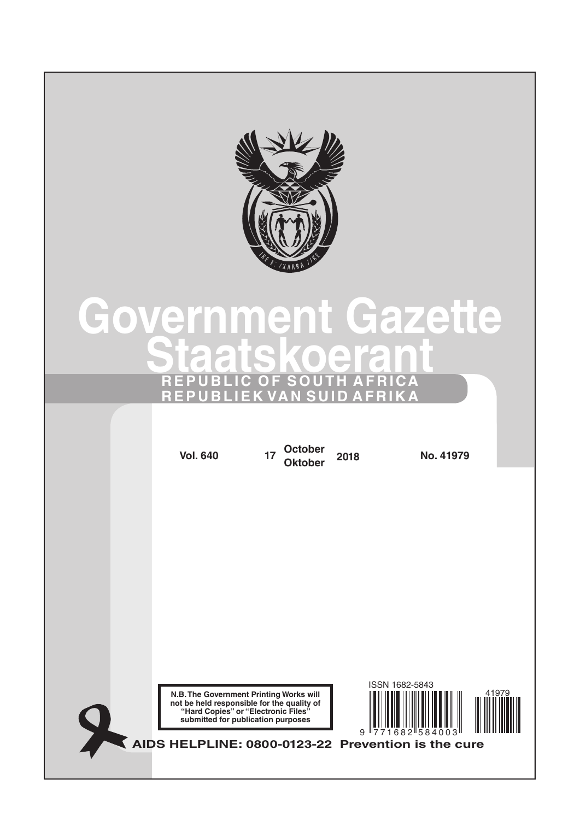

# **Government Gazette Staatskoerant REPUBLIC OF SOUTH AFRICA REPUBLIEK VAN SUID AFRIKA**

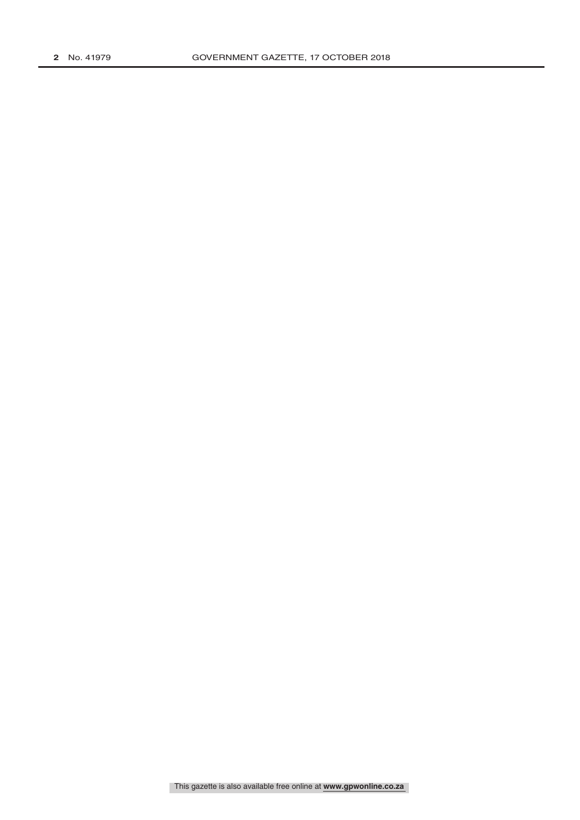This gazette is also available free online at **www.gpwonline.co.za**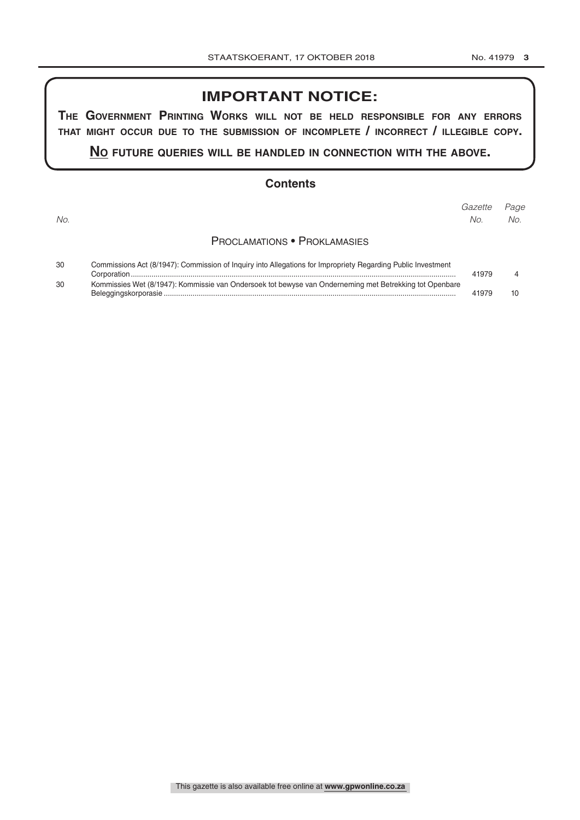# **IMPORTANT NOTICE:**

**The GovernmenT PrinTinG Works Will noT be held resPonsible for any errors ThaT miGhT occur due To The submission of incomPleTe / incorrecT / illeGible coPy.**

**no fuTure queries Will be handled in connecTion WiTh The above.**

# **Contents**

| No. |                                                                                                              | Gazette<br>No. | Paae<br>$N_O$ |
|-----|--------------------------------------------------------------------------------------------------------------|----------------|---------------|
|     | <b>PROCLAMATIONS • PROKLAMASIES</b>                                                                          |                |               |
| 30  | Commissions Act (8/1947): Commission of Inquiry into Allegations for Impropriety Regarding Public Investment | 41979          |               |
| 30  | Kommissies Wet (8/1947): Kommissie van Ondersoek tot bewyse van Onderneming met Betrekking tot Openbare      | 41979          | 10            |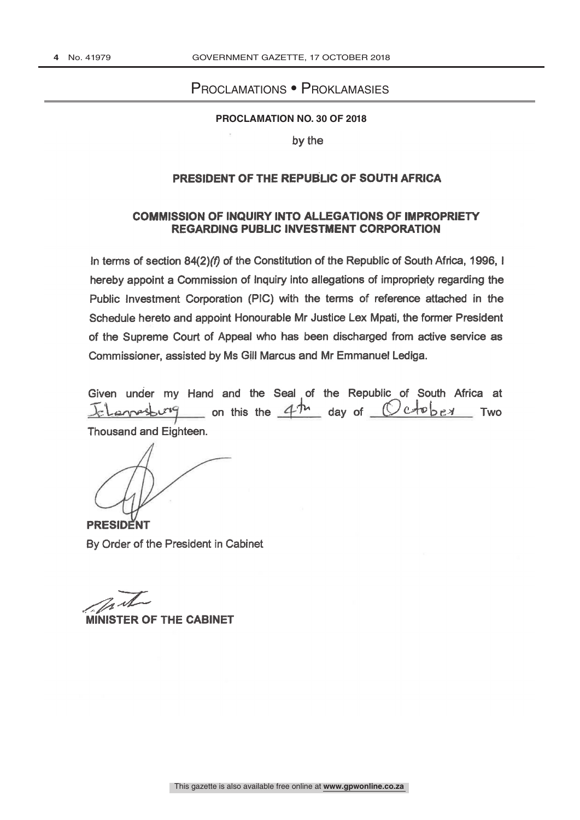# Proclamations • Proklamasies

### **PROCLAMATION NO. 30 OF 2018**

## by the

# PRESIDENT OF THE REPUBLIC OF SOUTH AFRICA

# COMMISSION OF INQUIRY INTO ALLEGATIONS OF IMPROPRIETY REGARDING PUBLIC INVESTMENT CORPORATION

In terms of section 84(2)(*f*) of the Constitution of the Republic of South Africa, 1996, I hereby appoint a Commission of Inquiry into allegations of impropriety regarding the Public Investment Corporation (PIC) with the terms of reference attached in the Schedule hereto and appoint Honourable Mr Justice Lex Mpati, the former President of the Supreme Court of Appeal who has been discharged from active service as Commissioner, assisted by Ms Gill Marcus and Mr Emmanuel Lediga.

Given under my Hand and the Seal of the Republic of South Africa at on this the  $4\pi$  day of  $Oebb$   $\pi$  Two Thousand and Eighteen.

PRESIDENT By Order of the President in Cabinet

mit MINISTER OF THE CABINET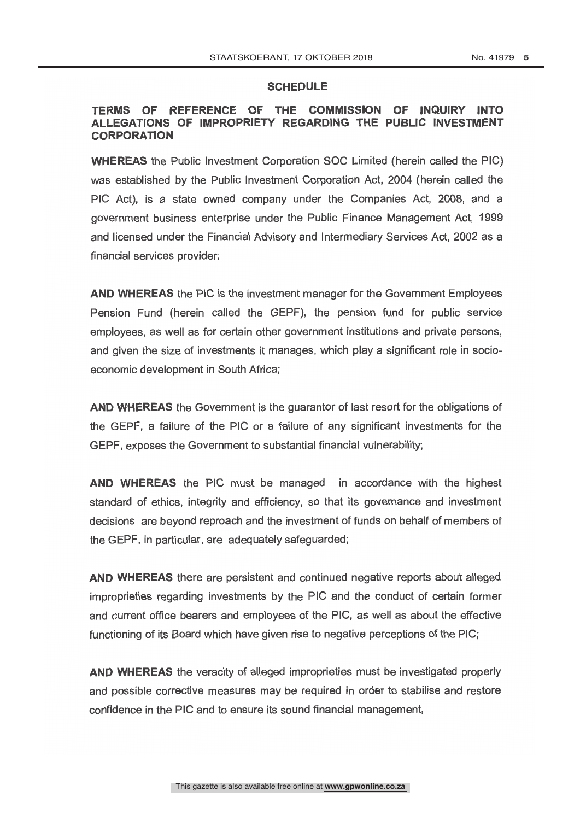#### **SCHEDULE**

# TERMS OF REFERENCE OF THE COMMISSION OF INQUIRY INTO ALLEGATIONS OF IMPROPRIETY REGARDING THE PUBLIC INVESTMENT **CORPORATION**

WHEREAS the Public Investment Corporation SOC Limited (herein called the PIC) was established by the Public Investment Corporation Act, 2004 (herein called the PIC Act), is a state owned company under the Companies Act, 2008, and a government business enterprise under the Public Finance Management Act, 1999 and licensed under the Financial Advisory and Intermediary Services Act, 2002 as a financial services provider;

AND WHEREAS the PIC is the investment manager for the Government Employees Pension Fund (herein called the GEPF), the pension fund for public service employees, as well as for certain other government institutions and private persons, and given the size of investments it manages, which play a significant role in socioeconomic development in South Africa;

AND WHEREAS the Government is the guarantor of last resort for the obligations of the GEPF, a failure of the PIC or a failure of any significant investments for the GEPF, exposes the Government to substantial financial vulnerability;

AND WHEREAS the PIC must be managed in accordance with the highest standard of ethics, integrity and efficiency, so that its governance and investment decisions are beyond reproach and the investment of funds on behalf of members of the GEPF, in particular, are adequately safeguarded;

AND WHEREAS there are persistent and continued negative reports about alleged improprieties regarding investments by the PIC and the conduct of certain former and current office bearers and employees of the PIC, as well as about the effective functioning of its Board which have given rise to negative perceptions of the PIC;

AND WHEREAS the veracity of alleged improprieties must be investigated properly and possible corrective measures may be required in order to stabilise and restore confidence in the PIC and to ensure its sound financial management,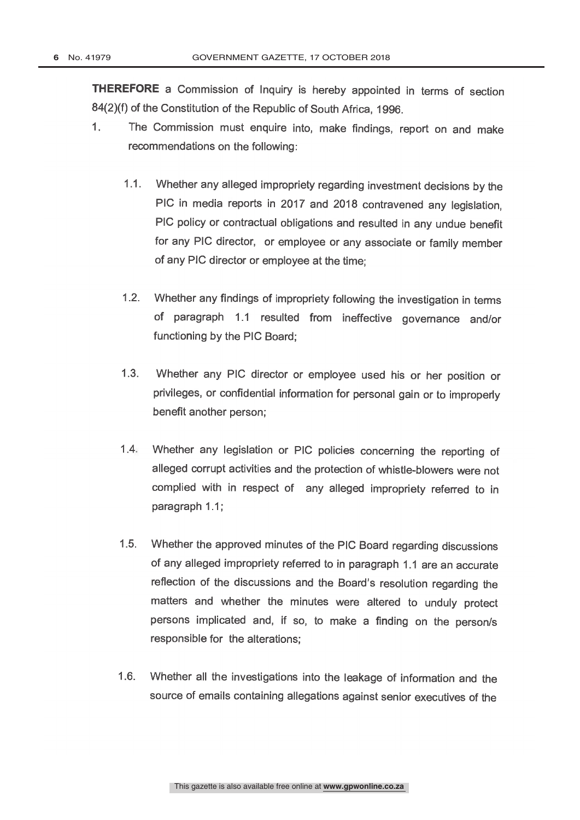THEREFORE a Commission of Inquiry is hereby appointed in terms of section 84(2)(f) of the Constitution of the Republic of South Africa, 1996.

- 1. The Commission must enquire into, make findings, report on and make recommendations on the following:
	- $1.1.$ Whether any alleged impropriety regarding investment decisions by the PIC in media reports in 2017 and 2018 contravened any legislation, PIC policy or contractual obligations and resulted in any undue benefit for any PIC director, or employee or any associate or family member of any PIC director or employee at the time;
	- 1.2. Whether any findings of impropriety following the investigation in terms of paragraph 1.1 resulted from ineffective governance and/or functioning by the PIC Board;
	- 1.3. Whether any PIC director or employee used his or her position or privileges, or confidential information for personal gain or to improperly benefit another person;
	- 1.4 Whether any legislation or PIC policies concerning the reporting of alleged corrupt activities and the protection of whistle -blowers were not complied with in respect of any alleged impropriety referred to in paragraph 1.1,
	- 1.5. Whether the approved minutes of the PIC Board regarding discussions of any alleged impropriety referred to in paragraph 1.1 are an accurate reflection of the discussions and the Board's resolution regarding the matters and whether the minutes were altered to unduly protect persons implicated and, if so, to make a finding on the person/s responsible for the alterations;
	- 1.6. Whether all the investigations into the leakage of information and the source of emails containing allegations against senior executives of the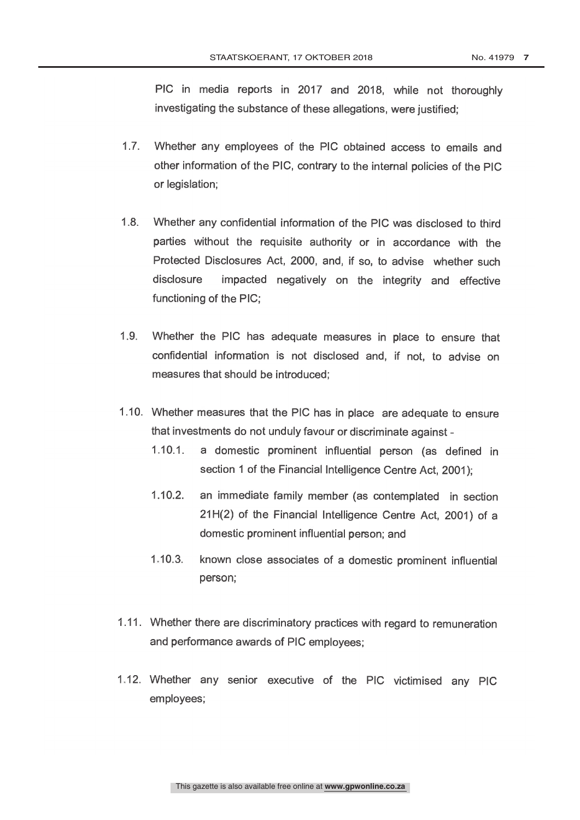PIC in media reports in 2017 and 2018, while not thoroughly investigating the substance of these allegations, were justified;

- 1.7. Whether any employees of the PIC obtained access to emails and other information of the PIC, contrary to the internal policies of the PIC or legislation;
- 1.8. Whether any confidential information of the PIC was disclosed to third parties without the requisite authority or in accordance with the Protected Disclosures Act, 2000, and, if so, to advise whether such disclosure impacted negatively on the integrity and effective functioning of the PIC;
- 1.9. Whether the PIC has adequate measures in place to ensure that confidential information is not disclosed and, if not, to advise on measures that should be introduced;
- 1.10. Whether measures that the PIC has in place are adequate to ensure that investments do not unduly favour or discriminate against -
	- 1.10.1. a domestic prominent influential person (as defined in section 1 of the Financial Intelligence Centre Act, 2001);
	- 1.10.2. an immediate family member (as contemplated in section 21H(2) of the Financial Intelligence Centre Act, 2001) of a domestic prominent influential person; and
	- 1 10.3. known close associates of a domestic prominent influential person;
- 1.11. Whether there are discriminatory practices with regard to remuneration and performance awards of PIC employees;
- 1 12. Whether any senior executive of the PIC victimised any PIC employees;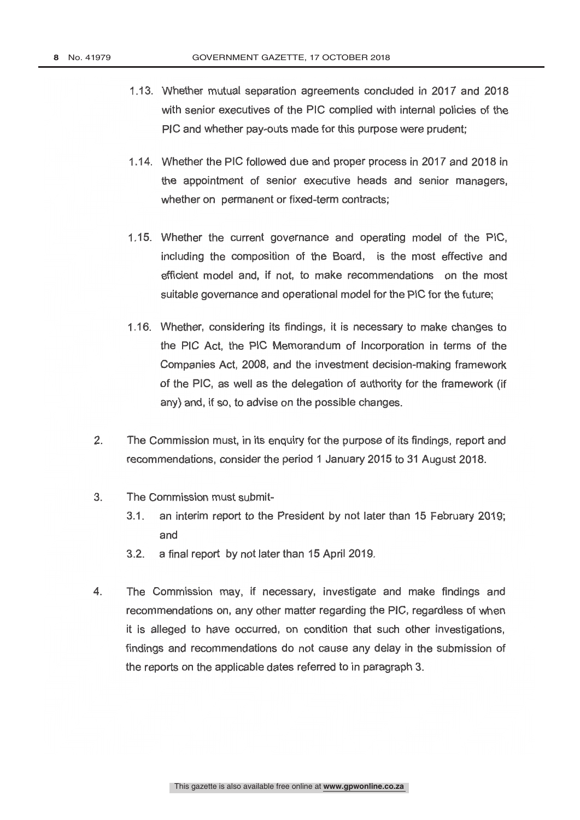- 1.13. Whether mutual separation agreements concluded in 2017 and 2018 with senior executives of the PIC complied with internal policies of the PIC and whether pay-outs made for this purpose were prudent;
- 1 14. Whether the PIC followed due and proper process in 2017 and 2018 in the appointment of senior executive heads and senior managers, whether on permanent or fixed-term contracts;
- 1.15. Whether the current governance and operating model of the PIC, including the composition of the Board, is the most effective and efficient model and, if not, to make recommendations on the most suitable governance and operational model for the PIC for the future;
- 1.16. Whether, considering its findings, it is necessary to make changes to the PIC Act, the PIC Memorandum of Incorporation in terms of the Companies Act, 2008, and the investment decision -making framework of the PIC, as well as the delegation of authority for the framework (if any) and, if so, to advise on the possible changes.
- 2. The Commission must, in its enquiry for the purpose of its findings, report and recommendations, consider the period 1 January 2015 to 31 August 2018.
- 3. The Commission must submit-
	- 3.1. an interim report to the President by not later than 15 February 2019; and
	- 3.2. a final report by not later than 15 April 2019.
- 4. The Commission may, if necessary, investigate and make findings and recommendations on, any other matter regarding the PIC, regardless of when it is alleged to have occurred, on condition that such other investigations, findings and recommendations do not cause any delay in the submission of the reports on the applicable dates referred to in paragraph 3.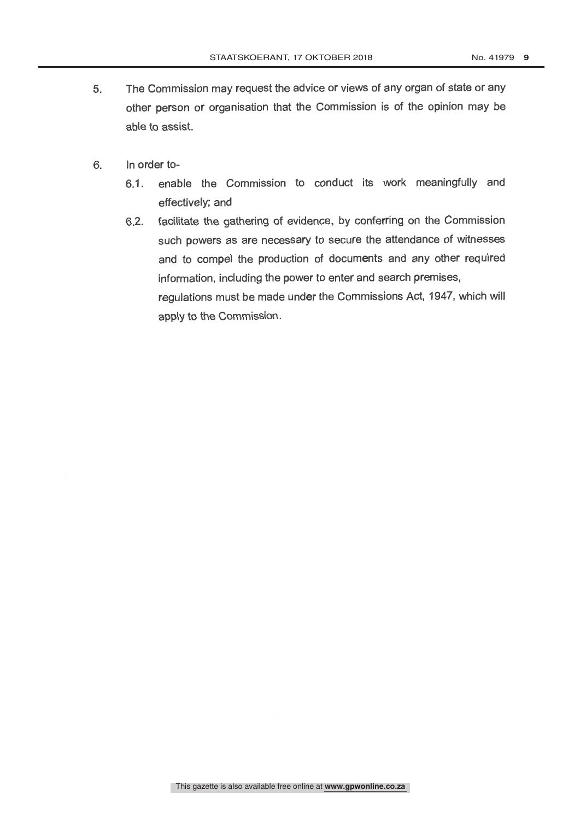- 5. The Commission may request the advice or views of any organ of state or any other person or organisation that the Commission is of the opinion may be able to assist.
- 6. In order to-
	- 6.1 enable the Commission to conduct its work meaningfully and effectively; and
	- 6.2. facilitate the gathering of evidence, by conferring on the Commission such powers as are necessary to secure the attendance of witnesses and to compel the production of documents and any other required information, including the power to enter and search premises, regulations must be made under the Commissions Act, 1947, which will apply to the Commission.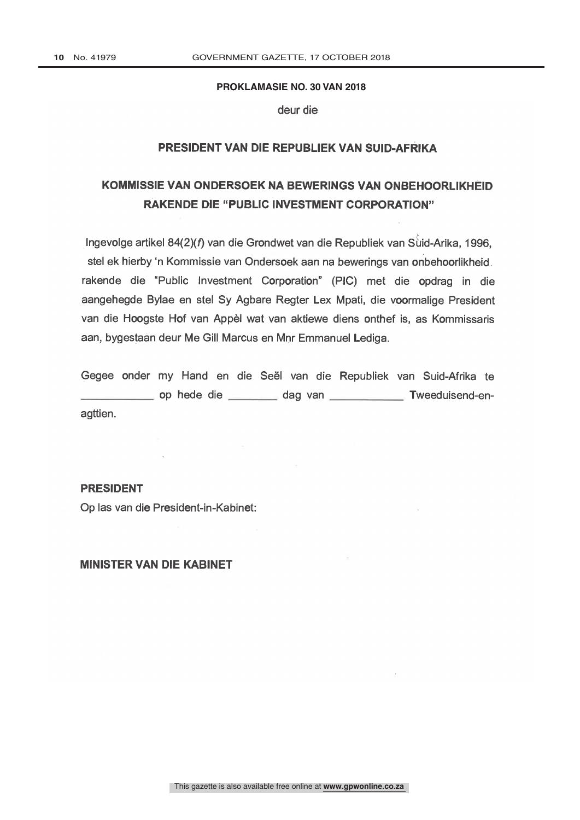#### **PROKLAMASIE NO. 30 VAN 2018**

deur die

# PRESIDENT VAN DIE REPUBLIEK VAN SUID-AFRIKA

# KOMMISSIE VAN ONDERSOEK NA BEWERINGS VAN ONBEHOORLIKHEID RAKENDE DIE "PUBLIC INVESTMENT CORPORATION"

Ingevolge artikel 84(2)(f) van die Grondwet van die Republiek van Suid-Arika, 1996, stel ek hierby 'n Kommissie van Ondersoek aan na bewerings van onbehoorlikheid . rakende die "Public Investment Corporation" (PIC) met die opdrag in die aangehegde Bylae en stel Sy Agbare Regter Lex Mpati, die voormalige President van die Hoogste Hof van Appèl wat van aktiewe diens onthef is, as Kommissaris aan, bygestaan deur Me Gill Marcus en Mnr Emmanuel Lediga.

Gegee onder my Hand en die Seël van die Republiek van Suid-Afrika te op hede die \_\_\_\_\_\_\_\_\_ dag van \_\_\_\_\_\_\_\_\_\_\_\_\_\_\_ Tweeduisend-enagttien.

#### PRESIDENT

Op las van die President-in-Kabinet:

# **MINISTER VAN DIE KABINET**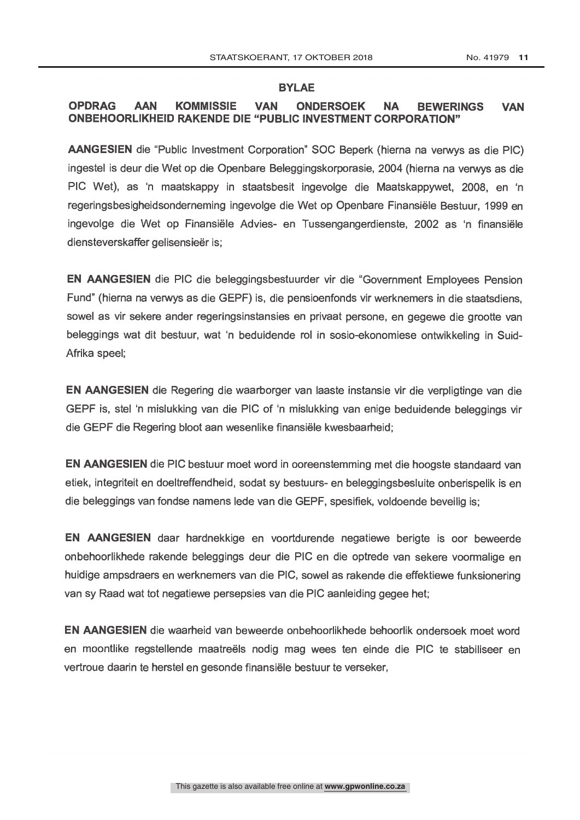#### BYLAE

# OPDRAG AAN KOMMISSIE VAN ONDERSOEK NA BEWERINGS VAN ONBEHOORLIKHEID RAKENDE DIE "PUBLIC INVESTMENT CORPORATION"

AANGESIEN die "Public Investment Corporation" SOC Beperk (hierna na verwys as die PIC) ingestel is deur die Wet op die Openbare Beleggingskorporasie, 2004 (hierna na verwys as die PIC Wet), as 'n maatskappy in staatsbesit ingevolge die Maatskappywet, 2008, en `n regeringsbesigheidsonderneming ingevolge die Wet op Openbare Finansiële Bestuur, 1999 en ingevolge die Wet op Finansiële Advies- en Tussengangerdienste, 2002 as `n finansiële diensteverskaffer gelisensieër is;

EN AANGESIEN die PIC die beleggingsbestuurder vir die "Government Employees Pension Fund" (hierna na verwys as die GEPF) is, die pensioenfonds vir werknemers in die staatsdiens, sowel as vir sekere ander regeringsinstansies en privaat persone, en gegewe die grootte van beleggings wat dit bestuur, wat 'n beduidende rol in sosio-ekonomiese ontwikkeling in Suid-Afrika speel;

EN AANGESIEN die Regering die waarborger van laaste instansie vir die verpligtinge van die GEPF is, stel `n mislukking van die PIC of `n mislukking van enige beduidende beleggings vir die GEPF die Regering bloot aan wesenlike finansiële kwesbaarheid;

EN AANGESIEN die PIC bestuur moet word in ooreenstemming met die hoogste standaard van etiek, integriteit en doeltreffendheid, sodat sy bestuurs- en beleggingsbesluite onberispelik is en die beleggings van fondse namens lede van die GEPF, spesifiek, voldoende beveilig is;

EN AANGESIEN daar hardnekkige en voortdurende negatiewe berigte is oor beweerde onbehoorlikhede rakende beleggings deur die PIC en die optrede van sekere voormalige en huidige ampsdraers en werknemers van die PIC, sowel as rakende die effektiewe funksionering van sy Raad wat tot negatiewe persepsies van die PIC aanleiding gegee het;

EN AANGESIEN die waarheid van beweerde onbehoorlikhede behoorlik ondersoek moet word en moontlike regstellende maatreëls nodig mag wees ten einde die PIC te stabiliseer en vertroue daarin te herstel en gesonde finansiële bestuur te verseker,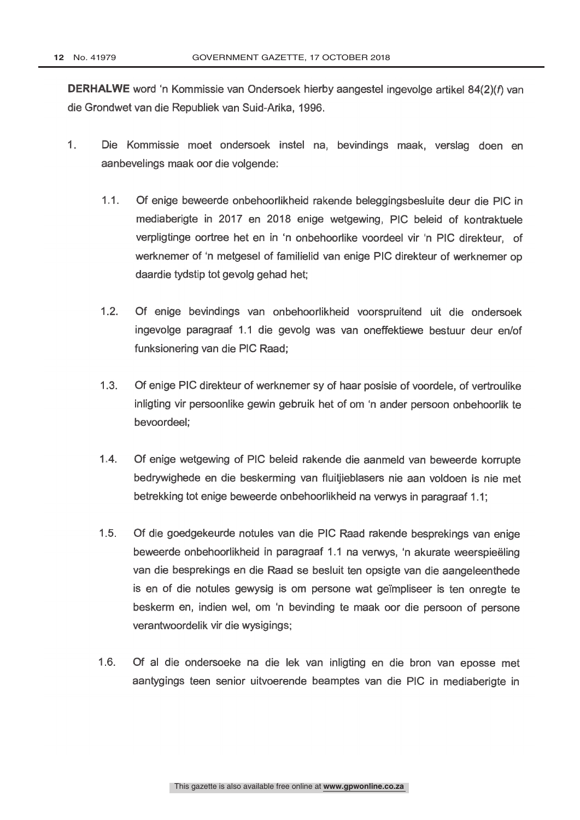**DERHALWE** word 'n Kommissie van Ondersoek hierby aangestel ingevolge artikel  $84(2)(f)$  van die Grondwet van die Republiek van Suid -Arika, 1996.

- <sup>1</sup> Die Kommissie moet ondersoek instel na, bevindings maak, versiag doen en aanbevelings maak oor die volgende:
	- 1.1. Of enige beweerde onbehoorlikheid rakende beleggingsbesluite deur die PIC in mediaberigte in 2017 en 2018 enige wetgewing, PIC beleid of kontraktuele verpligtinge oortree het en in `n onbehoorlike voordeel vir 'n PIC direkteur, of werknemer of 'n metgesel of familielid van enige PIC direkteur of werknemer op daardie tydstip tot gevolg gehad het:
	- 1.2. Of enige bevindings van onbehoorlikheid voorspruitend uit die ondersoek ingevolge paragraaf 1.1 die gevolg was van oneffektiewe bestuur deur en/of funksionering van die PIC Raad;
	- 1.3. Of enige PIC direkteur of werknemer sy of haar posisie of voordele, of vertroulike inligting vir persoonlike gewin gebruik het of om 'n ander persoon onbehoorlik te bevoordeel;
	- 1 4. Of enige wetgewing of PIC beleid rakende die aanmeld van beweerde korrupte bedrywighede en die beskerming van fluitjieblasers nie aan voldoen is nie met betrekking tot enige beweerde onbehoorlikheid na verwys in paragraaf 1.1,
	- 1.5. Of die goedgekeurde notules van die PIC Raad rakende besprekings van enige beweerde onbehoorlikheid in paragraaf 1.1 na verwys, `n akurate weerspieëling van die besprekings en die Raad se besluit ten opsigte van die aangeleenthede is en of die notules gewysig is om persone wat geïmpliseer is ten onregte te beskerm en, indien wel, om 'n bevinding te maak oor die persoon of persone verantwoordelik vir die wysigings;
	- 1.6. Of al die ondersoeke na die lek van inligting en die bron van eposse met aantygings teen senior uitvoerende beamptes van die PIC in mediaberigte in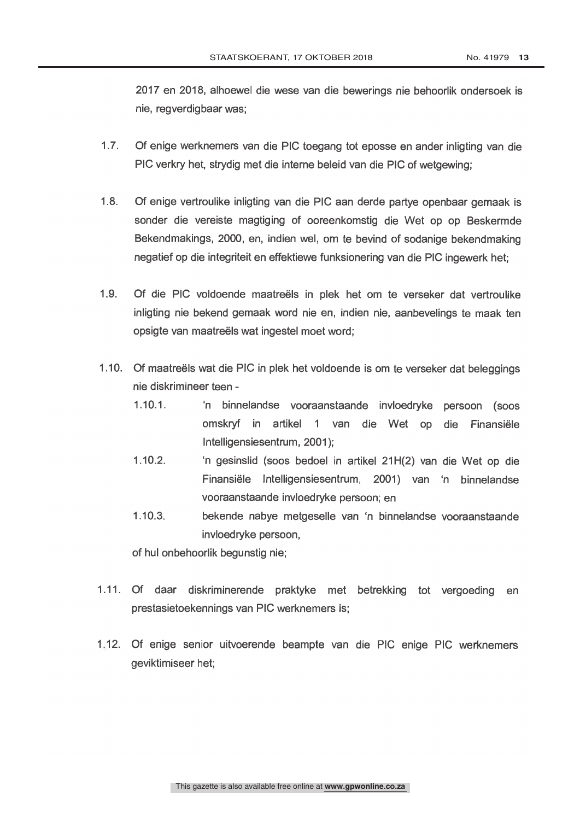2017 en 2018, alhoewel die wese van die bewerings nie behoorlik ondersoek is nie, regverdigbaar was;

- 1.7. Of enige werknemers van die PIC toegang tot eposse en ander inligting van die PIC verkry het, strydig met die interne beleid van die PIC of wetgewing;
- 1.8. Of enige vertroulike inligting van die PIC aan derde partye openbaar gemaak is sonder die vereiste magtiging of ooreenkomstig die Wet op op Beskermde Bekendmakings, 2000, en, indien wel, om te bevind of sodanige bekendmaking negatief op die integriteit en effektiewe funksionering van die PIC ingewerk het;
- 1.9. Of die PIC voldoende maatreëls in plek het om te verseker dat vertroulike inligting nie bekend gemaak word nie en, indien nie, aanbevelings te maak ten opsigte van maatreëls wat ingestel moet word;
- 1 10. Of maatreëls wat die PIC in plek het voldoende is om te verseker dat beleggings nie diskrimineer teen -
	- 1.10.1. `n binnelandse vooraanstaande invloedryke persoon (soos omskryf in artikel <sup>1</sup> van die Wet op die Finansiële Intelligensiesentrum, 2001);
	- 1.10.2. `n gesinslid (soos bedoel in artikel 21H(2) van die Wet op die Finansiële Intelligensiesentrum, 2001) van `n binnelandse vooraanstaande invloedryke persoon; en
	- 1.10.3. bekende nabye metgeselle van `n binnelandse vooraanstaande invloedryke persoon,

of hul onbehoorlik begunstig nie;

- 1.11. Of daar diskriminerende praktyke met betrekking tot vergoeding en prestasietoekennings van PIC werknemers is;
- 1 12. Of enige senior uitvoerende beampte van die PIC enige PIC werknemers geviktimiseer het;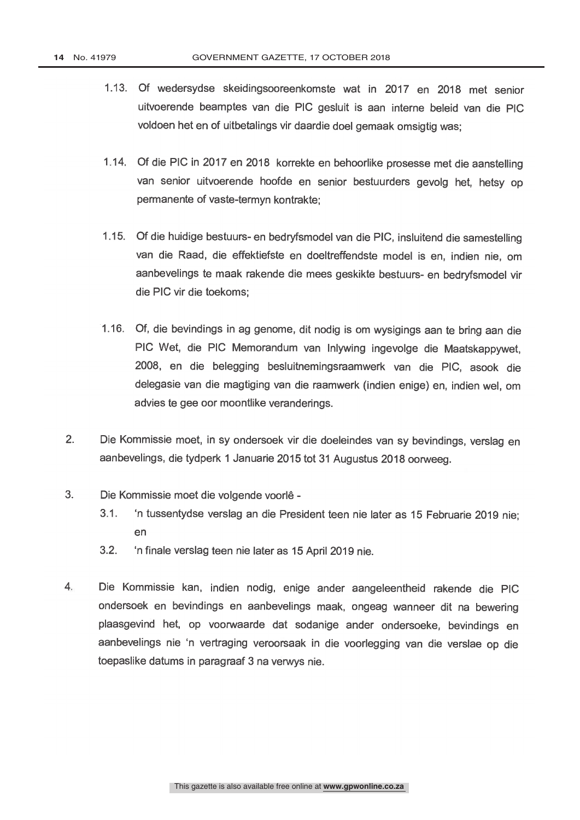- 1.13. Of wedersydse skeidingsooreenkomste wat in 2017 en 2018 met senior uitvoerende beamptes van die PIC gesluit is aan interne beleid van die PIC voldoen het en of uitbetalings vir daardie doel gemaak omsigtig was:
- 1 14 Of die PIC in 2017 en 2018 korrekte en behoorlike prosesse met die aanstelling van senior uitvoerende hoofde en senior bestuurders gevolg het, hetsy op permanente of vaste -termyn kontrakte;
- 1.15. Of die huidige bestuurs- en bedryfsmodel van die PIC, insluitend die samestelling van die Raad, die effektiefste en doeltreffendste model is en, indien nie, om aanbevelings te maak rakende die mees geskikte bestuurs- en bedryfsmodel vir die PIC vir die toekoms;
- 1.16. Of, die bevindings in ag genome, dit nodig is om wysigings aan te bring aan die PIC Wet, die PIC Memorandum van Inlywing ingevolge die Maatskappywet, 2008, en die belegging besluitnemingsraamwerk van die PIC, asook die delegasie van die magtiging van die raamwerk (indien enige) en, indien wel, om advies te gee oor moontlike veranderings.
- 2. Die Kommissie moet, in sy ondersoek vir die doeleindes van sy bevindings, verslag en aanbevelings, die tydperk 1 Januarie 2015 tot 31 Augustus 2018 oorweeg.
- 3. Die Kommissie moet die volgende voorlé
	- 3.1. 'n tussentydse verslag an die President teen nie later as 15 Februarie 2019 nie; en
	- 3.2. 'n finale verslag teen nie later as 15 April 2019 nie.
- 4 Die Kommissie kan, indien nodig, enige ander aangeleentheid rakende die PIC ondersoek en bevindings en aanbevelings maak, ongeag wanneer dit na bewering plaasgevind het, op voorwaarde dat sodanige ander ondersoeke, bevindings en aanbevelings nie 'n vertraging veroorsaak in die voorlegging van die verslae op die toepaslike datums in paragraaf 3 na verwys nie.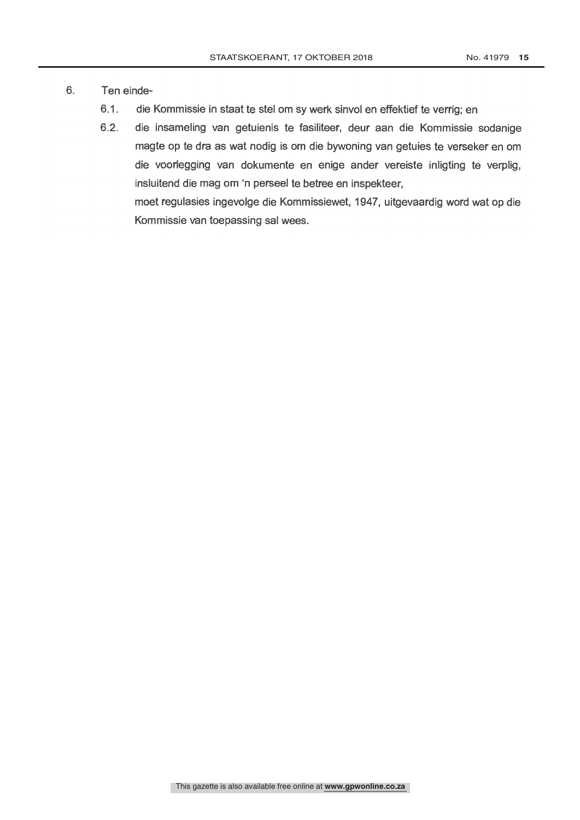- 6. Ten einde-
	- 6.1. die Kommissie in staat te stel om sy werk sinvol en effektief te verrig; en
	- 6.2. die insameling van getuienis te fasiliteer, deur aan die Kommissie sodanige magte op te dra as wat nodig is om die bywoning van getuies te verseker en om die voorlegging van dokumente en enige ander vereiste inligting te verplig, insluitend die mag om 'n perseel te betree en inspekteer,

moet regulasies ingevolge die Kommissiewet, 1947, uitgevaardig word wat op die Kommissie van toepassing sal wees.